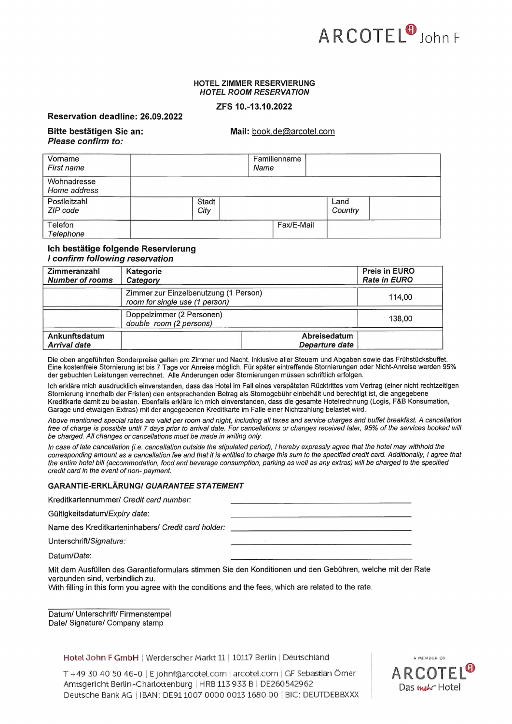

## HOTEL ZIMMER RESERVIERUNG **HOTEL ROOM RESERVATION**

# ZFS 10.-13.10.2022

Reservation deadline: 26.09.2022

# Mail: book.de@arcotel.com

| Bitte bestätigen Sie an: |
|--------------------------|
| Please confirm to:       |

| Vorname<br>First name       |               | Familienname<br>Name |                 |
|-----------------------------|---------------|----------------------|-----------------|
| Wohnadresse<br>Home address |               |                      |                 |
| Postleitzahl<br>ZIP code    | Stadt<br>City |                      | Land<br>Country |
| Telefon<br>Telephone        |               | Fax/E-Mail           |                 |

## Ich bestätige folgende Reservierung I confirm following reservation

| Zimmeranzahl<br><b>Number of rooms</b> | Kategorie<br>Category                                                   | <b>Preis in EURO</b><br><b>Rate in EURO</b> |
|----------------------------------------|-------------------------------------------------------------------------|---------------------------------------------|
|                                        | Zimmer zur Einzelbenutzung (1 Person)<br>room for single use (1 person) | 114.00                                      |
|                                        | Doppelzimmer (2 Personen)<br>double room (2 persons)                    | 138.00                                      |
| Ankunftsdatum<br><b>Arrival date</b>   | Abreisedatum<br>Departure date                                          |                                             |

Die oben angeführten Sonderpreise gelten pro Zimmer und Nacht, inklusive aller Steuern und Abgaben sowie das Frühstücksbuffet. Eine kostenfreie Stornierung ist bis 7 Tage vor Anreise möglich. Für später eintreffende Stornierungen oder Nicht-Anreise werden 95% der gebuchten Leistungen verrechnet. Alle Änderungen oder Stornierungen müssen schriftlich erfolgen.

Ich erkläre mich ausdrücklich einverstanden, dass das Hotel im Fall eines verspäteten Rücktrittes vom Vertrag (einer nicht rechtzeitigen Stornierung innerhalb der Fristen) den entsprechenden Betrag als Stornogebühr einbehält und berechtigt ist, die angegebene Kreditkarte damit zu belasten. Ebenfalls erkläre ich mich einverstanden, dass die gesamte Hotelrechnung (Logis, F&B Konsumation, Garage und etwaigen Extras) mit der angegebenen Kreditkarte im Falle einer Nichtzahlung belastet wird.

Above mentioned special rates are valid per room and night, including all taxes and service charges and buffet breakfast. A cancellation free of charge is possible until 7 days prior to arrival date. For cancellations or changes received later, 95% of the services booked will be charged. All changes or cancellations must be made in writing only.

In case of late cancellation (i.e. cancellation outside the stipulated period), I hereby expressly agree that the hotel may withhold the corresponding amount as a cancellation fee and that it is entitled to charge this sum to the specified credit card. Additionally, I agree that the entire hotel bill (accommodation, food and beverage consumption, parking as well as any extras) will be charged to the specified credit card in the event of non-payment.

# **GARANTIE-ERKLÄRUNG/ GUARANTEE STATEMENT**

| Kreditkartennummer/ Credit card number: |  |
|-----------------------------------------|--|
|                                         |  |

Gültigkeitsdatum/Expiry date:

Name des Kreditkarteninhabers/ Credit card holder:

Unterschrift/Signature:

Datum/Date:

Mit dem Ausfüllen des Garantieformulars stimmen Sie den Konditionen und den Gebühren, welche mit der Rate verbunden sind, verbindlich zu.

With filling in this form you agree with the conditions and the fees, which are related to the rate.

Datum/ Unterschrift/ Firmenstempel Date/ Signature/ Company stamp

Hotel John F GmbH | Werderscher Markt 11 | 10117 Berlin | Deutschland

T +49 30 40 50 46-0 | E johnf@arcotel.com | arcotel.com | GF Sebastian Ömer Amtsgericht Berlin-Charlottenburg | HRB 113 933 B | DE260542962 Deutsche Bank AG | IBAN: DE91 1007 0000 0013 1680 00 | BIC: DEUTDEBBXXX